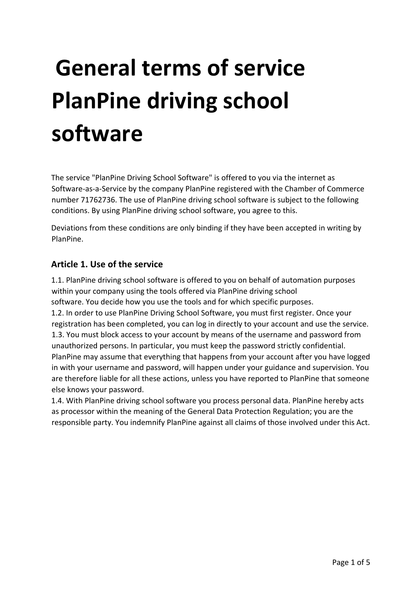# **General terms of service PlanPine driving school software**

The service "PlanPine Driving School Software" is offered to you via the internet as Software-as-a-Service by the company PlanPine registered with the Chamber of Commerce number 71762736. The use of PlanPine driving school software is subject to the following conditions. By using PlanPine driving school software, you agree to this.

Deviations from these conditions are only binding if they have been accepted in writing by PlanPine.

# **Article 1. Use of the service**

1.1. PlanPine driving school software is offered to you on behalf of automation purposes within your company using the tools offered via PlanPine driving school software. You decide how you use the tools and for which specific purposes. 1.2. In order to use PlanPine Driving School Software, you must first register. Once your registration has been completed, you can log in directly to your account and use the service. 1.3. You must block access to your account by means of the username and password from unauthorized persons. In particular, you must keep the password strictly confidential. PlanPine may assume that everything that happens from your account after you have logged in with your username and password, will happen under your guidance and supervision. You are therefore liable for all these actions, unless you have reported to PlanPine that someone else knows your password.

1.4. With PlanPine driving school software you process personal data. PlanPine hereby acts as processor within the meaning of the General Data Protection Regulation; you are the responsible party. You indemnify PlanPine against all claims of those involved under this Act.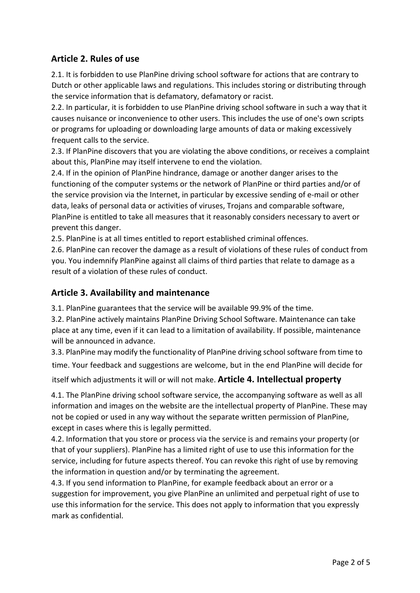#### **Article 2. Rules of use**

2.1. It is forbidden to use PlanPine driving school software for actions that are contrary to Dutch or other applicable laws and regulations. This includes storing or distributing through the service information that is defamatory, defamatory or racist.

2.2. In particular, it is forbidden to use PlanPine driving school software in such a way that it causes nuisance or inconvenience to other users. This includes the use of one's own scripts or programs for uploading or downloading large amounts of data or making excessively frequent calls to the service.

2.3. If PlanPine discovers that you are violating the above conditions, or receives a complaint about this, PlanPine may itself intervene to end the violation.

2.4. If in the opinion of PlanPine hindrance, damage or another danger arises to the functioning of the computer systems or the network of PlanPine or third parties and/or of the service provision via the Internet, in particular by excessive sending of e-mail or other data, leaks of personal data or activities of viruses, Trojans and comparable software, PlanPine is entitled to take all measures that it reasonably considers necessary to avert or prevent this danger.

2.5. PlanPine is at all times entitled to report established criminal offences.

2.6. PlanPine can recover the damage as a result of violations of these rules of conduct from you. You indemnify PlanPine against all claims of third parties that relate to damage as a result of a violation of these rules of conduct.

#### **Article 3. Availability and maintenance**

3.1. PlanPine guarantees that the service will be available 99.9% of the time.

3.2. PlanPine actively maintains PlanPine Driving School Software. Maintenance can take place at any time, even if it can lead to a limitation of availability. If possible, maintenance will be announced in advance.

3.3. PlanPine may modify the functionality of PlanPine driving school software from time to time. Your feedback and suggestions are welcome, but in the end PlanPine will decide for itself which adjustments it will or will not make. **Article 4. Intellectual property** 

4.1. The PlanPine driving school software service, the accompanying software as well as all information and images on the website are the intellectual property of PlanPine. These may not be copied or used in any way without the separate written permission of PlanPine, except in cases where this is legally permitted.

4.2. Information that you store or process via the service is and remains your property (or that of your suppliers). PlanPine has a limited right of use to use this information for the service, including for future aspects thereof. You can revoke this right of use by removing the information in question and/or by terminating the agreement.

4.3. If you send information to PlanPine, for example feedback about an error or a suggestion for improvement, you give PlanPine an unlimited and perpetual right of use to use this information for the service. This does not apply to information that you expressly mark as confidential.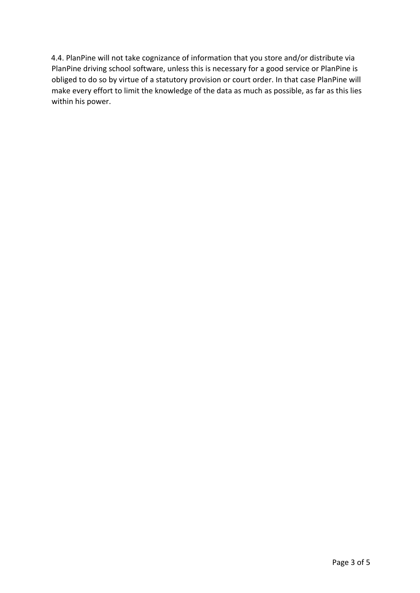4.4. PlanPine will not take cognizance of information that you store and/or distribute via PlanPine driving school software, unless this is necessary for a good service or PlanPine is obliged to do so by virtue of a statutory provision or court order. In that case PlanPine will make every effort to limit the knowledge of the data as much as possible, as far as this lies within his power.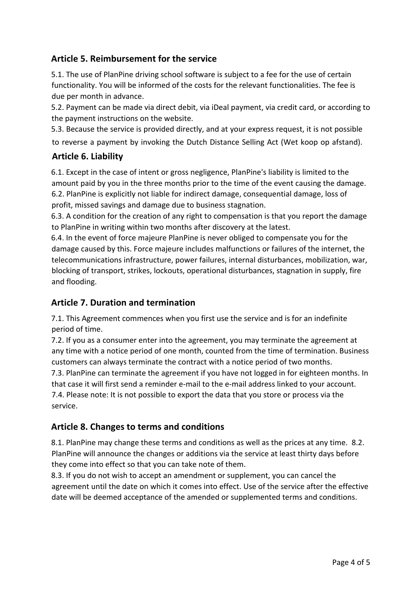# **Article 5. Reimbursement for the service**

5.1. The use of PlanPine driving school software is subject to a fee for the use of certain functionality. You will be informed of the costs for the relevant functionalities. The fee is due per month in advance.

5.2. Payment can be made via direct debit, via iDeal payment, via credit card, or according to the payment instructions on the website.

5.3. Because the service is provided directly, and at your express request, it is not possible to reverse a payment by invoking the Dutch Distance Selling Act (Wet koop op afstand).

#### **Article 6. Liability**

6.1. Except in the case of intent or gross negligence, PlanPine's liability is limited to the amount paid by you in the three months prior to the time of the event causing the damage. 6.2. PlanPine is explicitly not liable for indirect damage, consequential damage, loss of profit, missed savings and damage due to business stagnation.

6.3. A condition for the creation of any right to compensation is that you report the damage to PlanPine in writing within two months after discovery at the latest.

6.4. In the event of force majeure PlanPine is never obliged to compensate you for the damage caused by this. Force majeure includes malfunctions or failures of the internet, the telecommunications infrastructure, power failures, internal disturbances, mobilization, war, blocking of transport, strikes, lockouts, operational disturbances, stagnation in supply, fire and flooding.

# **Article 7. Duration and termination**

7.1. This Agreement commences when you first use the service and is for an indefinite period of time.

7.2. If you as a consumer enter into the agreement, you may terminate the agreement at any time with a notice period of one month, counted from the time of termination. Business customers can always terminate the contract with a notice period of two months.

7.3. PlanPine can terminate the agreement if you have not logged in for eighteen months. In that case it will first send a reminder e-mail to the e-mail address linked to your account. 7.4. Please note: It is not possible to export the data that you store or process via the service.

# **Article 8. Changes to terms and conditions**

8.1. PlanPine may change these terms and conditions as well as the prices at any time. 8.2. PlanPine will announce the changes or additions via the service at least thirty days before they come into effect so that you can take note of them.

8.3. If you do not wish to accept an amendment or supplement, you can cancel the agreement until the date on which it comes into effect. Use of the service after the effective date will be deemed acceptance of the amended or supplemented terms and conditions.